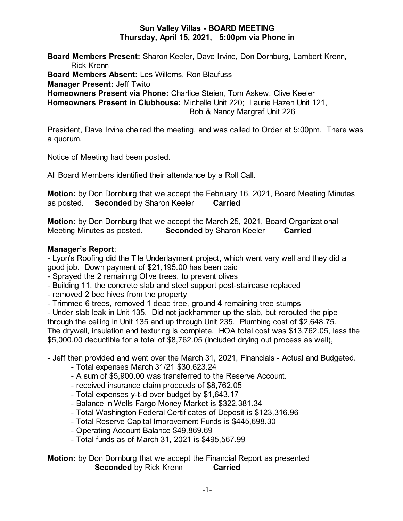### **Sun Valley Villas - BOARD MEETING Thursday, April 15, 2021, 5:00pm via Phone in**

**Board Members Present:** Sharon Keeler, Dave Irvine, Don Dornburg, Lambert Krenn, Rick Krenn **Board Members Absent:** Les Willems, Ron Blaufuss **Manager Present:** Jeff Twito **Homeowners Present via Phone:** Charlice Steien, Tom Askew, Clive Keeler **Homeowners Present in Clubhouse:** Michelle Unit 220; Laurie Hazen Unit 121, Bob & Nancy Margraf Unit 226

President, Dave Irvine chaired the meeting, and was called to Order at 5:00pm. There was a quorum.

Notice of Meeting had been posted.

All Board Members identified their attendance by a Roll Call.

**Motion:** by Don Dornburg that we accept the February 16, 2021, Board Meeting Minutes as posted. **Seconded** by Sharon Keeler **Carried**

**Motion:** by Don Dornburg that we accept the March 25, 2021, Board Organizational Meeting Minutes as posted. **Seconded** by Sharon Keeler **Carried**

## **Manager's Report**:

- Lyon's Roofing did the Tile Underlayment project, which went very well and they did a good job. Down payment of \$21,195.00 has been paid

- Sprayed the 2 remaining Olive trees, to prevent olives

- Building 11, the concrete slab and steel support post-staircase replaced
- removed 2 bee hives from the property
- Trimmed 6 trees, removed 1 dead tree, ground 4 remaining tree stumps

- Under slab leak in Unit 135. Did not jackhammer up the slab, but rerouted the pipe through the ceiling in Unit 135 and up through Unit 235. Plumbing cost of \$2,648.75. The drywall, insulation and texturing is complete. HOA total cost was \$13,762.05, less the \$5,000.00 deductible for a total of \$8,762.05 (included drying out process as well),

- Jeff then provided and went over the March 31, 2021, Financials - Actual and Budgeted.

- Total expenses March 31/21 \$30,623.24
- A sum of \$5,900.00 was transferred to the Reserve Account.
- received insurance claim proceeds of \$8,762.05
- Total expenses y-t-d over budget by \$1,643.17
- Balance in Wells Fargo Money Market is \$322,381.34
- Total Washington Federal Certificates of Deposit is \$123,316.96
- Total Reserve Capital Improvement Funds is \$445,698.30
- Operating Account Balance \$49,869.69
- Total funds as of March 31, 2021 is \$495,567.99

## **Motion:** by Don Dornburg that we accept the Financial Report as presented **Seconded** by Rick Krenn **Carried**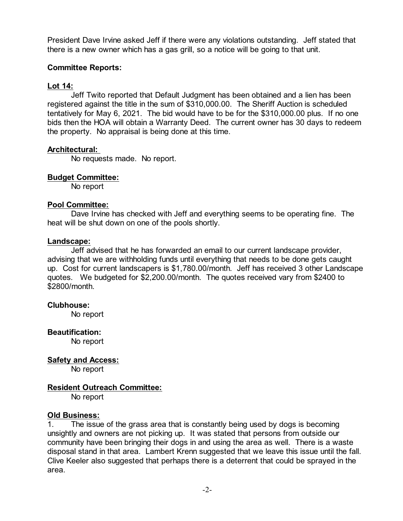President Dave Irvine asked Jeff if there were any violations outstanding. Jeff stated that there is a new owner which has a gas grill, so a notice will be going to that unit.

## **Committee Reports:**

# **Lot 14:**

Jeff Twito reported that Default Judgment has been obtained and a lien has been registered against the title in the sum of \$310,000.00. The Sheriff Auction is scheduled tentatively for May 6, 2021. The bid would have to be for the \$310,000.00 plus. If no one bids then the HOA will obtain a Warranty Deed. The current owner has 30 days to redeem the property. No appraisal is being done at this time.

## **Architectural:**

No requests made. No report.

## **Budget Committee:**

No report

#### **Pool Committee:**

Dave Irvine has checked with Jeff and everything seems to be operating fine. The heat will be shut down on one of the pools shortly.

#### **Landscape:**

Jeff advised that he has forwarded an email to our current landscape provider, advising that we are withholding funds until everything that needs to be done gets caught up. Cost for current landscapers is \$1,780.00/month. Jeff has received 3 other Landscape quotes. We budgeted for \$2,200.00/month. The quotes received vary from \$2400 to \$2800/month.

#### **Clubhouse:**

No report

#### **Beautification:**

No report

**Safety and Access:**

No report

# **Resident Outreach Committee:**

No report

#### **Old Business:**

1. The issue of the grass area that is constantly being used by dogs is becoming unsightly and owners are not picking up. It was stated that persons from outside our community have been bringing their dogs in and using the area as well. There is a waste disposal stand in that area. Lambert Krenn suggested that we leave this issue until the fall. Clive Keeler also suggested that perhaps there is a deterrent that could be sprayed in the area.